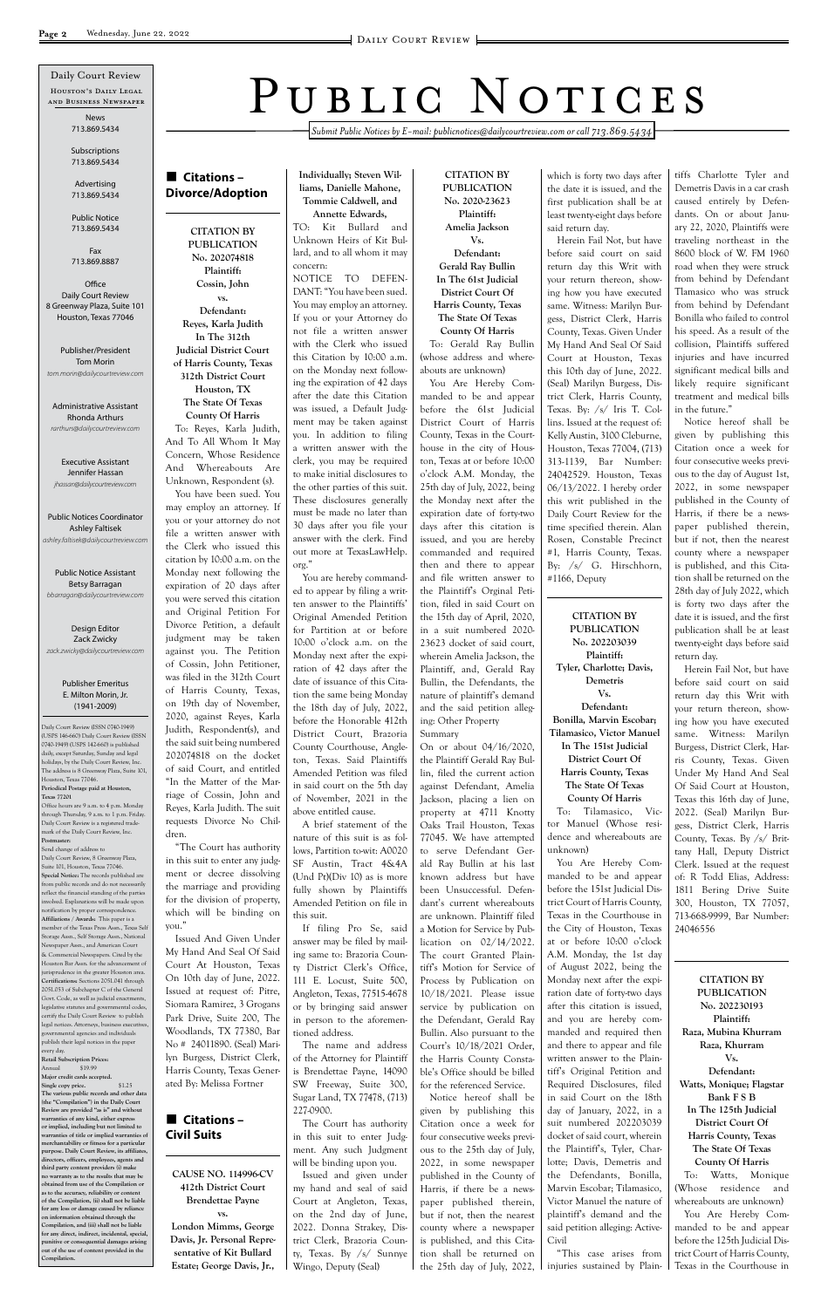*Submit Public Notices by E-mail: publicnotices@dailycourtreview.com or call 713.869.5434*

### **Citations – Divorce/Adoption**

**CITATION BY PUBLICATION No. 202074818 Plaintiff: Cossin, John vs. Defendant: Reyes, Karla Judith In The 312th Judicial District Court of Harris County, Texas 312th District Court Houston, TX The State Of Texas County Of Harris** To: Reyes, Karla Judith, And To All Whom It May Concern, Whose Residence And Whereabouts Are Unknown, Respondent (s). You have been sued. You may employ an attorney. If you or your attorney do not file a written answer with the Clerk who issued this citation by 10:00 a.m. on the Monday next following the expiration of 20 days after you were served this citation and Original Petition For Divorce Petition, a default judgment may be taken against you. The Petition of Cossin, John Petitioner, was filed in the 312th Court of Harris County, Texas, on 19th day of November, 2020, against Reyes, Karla Judith, Respondent(s), and the said suit being numbered 202074818 on the docket of said Court, and entitled "In the Matter of the Marriage of Cossin, John and Reyes, Karla Judith. The suit requests Divorce No Chil-

dren.

"The Court has authority in this suit to enter any judgment or decree dissolving the marriage and providing for the division of property, which will be binding on

you."

Issued And Given Under My Hand And Seal Of Said

Court At Houston, Texas On 10th day of June, 2022. Issued at request of: Pitre, Siomara Ramirez, 3 Grogans Park Drive, Suite 200, The Woodlands, TX 77380, Bar No # 24011890. (Seal) Marilyn Burgess, District Clerk, Harris County, Texas Gener-

ated By: Melissa Fortner

### **Citations – Civil Suits**

#### **CAUSE NO. 114996-CV 412th District Court Brendettae Payne**

**vs. London Mimms, George Davis, Jr. Personal Representative of Kit Bullard Estate; George Davis, Jr.,**  **Individually; Steven Williams, Danielle Mahone, Tommie Caldwell, and** 

**Annette Edwards,** TO: Kit Bullard and Unknown Heirs of Kit Bullard, and to all whom it may concern: NOTICE TO DEFEN-

DANT: "You have been sued. You may employ an attorney. If you or your Attorney do not file a written answer with the Clerk who issued this Citation by 10:00 a.m. on the Monday next following the expiration of 42 days after the date this Citation was issued, a Default Judgment may be taken against you. In addition to filing a written answer with the clerk, you may be required to make initial disclosures to the other parties of this suit. These disclosures generally must be made no later than 30 days after you file your answer with the clerk. Find out more at TexasLawHelp. org."

You are hereby commanded to appear by filing a written answer to the Plaintiffs' Original Amended Petition for Partition at or before 10:00 o'clock a.m. on the Monday next after the expiration of 42 days after the date of issuance of this Citation the same being Monday the 18th day of July, 2022, before the Honorable 412th District Court, Brazoria County Courthouse, Angleton, Texas. Said Plaintiffs Amended Petition was filed in said court on the 5th day of November, 2021 in the above entitled cause.

A brief statement of the nature of this suit is as follows, Partition to-wit: A0020 SF Austin, Tract 4&4A (Und Pt)(Div 10) as is more fully shown by Plaintiffs Amended Petition on file in this suit.

If filing Pro Se, said answer may be filed by mailing same to: Brazoria Coun-

ty District Clerk's Office, 111 E. Locust, Suite 500, Angleton, Texas, 77515-4678 or by bringing said answer in person to the aforementioned address.

The name and address of the Attorney for Plaintiff is Brendettae Payne, 14090 SW Freeway, Suite 300, Sugar Land, TX 77478, (713) 227-0900.

The Court has authority in this suit to enter Judgment. Any such Judgment will be binding upon you. Issued and given under my hand and seal of said Court at Angleton, Texas, on the 2nd day of June, 2022. Donna Strakey, District Clerk, Brazoria County, Texas. By /s/ Sunnye Wingo, Deputy (Seal)

**CITATION BY PUBLICATION No. 2020-23623 Plaintiff: Amelia Jackson Vs. Defendant: Gerald Ray Bullin In The 61st Judicial District Court Of Harris County, Texas The State Of Texas County Of Harris**

To: Gerald Ray Bullin (whose address and whereabouts are unknown)

You Are Hereby Commanded to be and appear before the 61st Judicial District Court of Harris County, Texas in the Courthouse in the city of Houston, Texas at or before 10:00 o'clock A.M. Monday, the 25th day of July, 2022, being the Monday next after the expiration date of forty-two days after this citation is issued, and you are hereby commanded and required then and there to appear and file written answer to the Plaintiff's Orginal Petition, filed in said Court on the 15th day of April, 2020, in a suit numbered 2020- 23623 docket of said court, wherein Amelia Jackson, the Plaintiff, and, Gerald Ray Bullin, the Defendants, the nature of plaintiff's demand and the said petition alleging: Other Property Summary

On or about 04/16/2020, the Plaintiff Gerald Ray Bullin, filed the current action against Defendant, Amelia Jackson, placing a lien on property at 4711 Knotty Oaks Trail Houston, Texas 77045. We have attempted to serve Defendant Gerald Ray Bullin at his last known address but have been Unsuccessful. Defendant's current whereabouts are unknown. Plaintiff filed a Motion for Service by Publication on 02/14/2022. The court Granted Plaintiff's Motion for Service of Process by Publication on 10/18/2021. Please issue service by publication on the Defendant, Gerald Ray Bullin. Also pursuant to the Court's 10/18/2021 Order, the Harris County Constable's Office should be billed for the referenced Service. Notice hereof shall be given by publishing this Citation once a week for four consecutive weeks previous to the 25th day of July, 2022, in some newspaper published in the County of Harris, if there be a newspaper published therein, but if not, then the nearest county where a newspaper is published, and this Citation shall be returned on the 25th day of July, 2022, which is forty two days after the date it is issued, and the first publication shall be at least twenty-eight days before said return day.

Office Daily Court Review 8 Greenway Plaza, Suite 101 Houston, Texas 77046

Herein Fail Not, but have before said court on said return day this Writ with your return thereon, showing how you have executed same. Witness: Marilyn Burgess, District Clerk, Harris County, Texas. Given Under My Hand And Seal Of Said Court at Houston, Texas this 10th day of June, 2022. (Seal) Marilyn Burgess, District Clerk, Harris County, Texas. By: /s/ Iris T. Collins. Issued at the request of: Kelly Austin, 3100 Cleburne, Houston, Texas 77004, (713) 313-1139, Bar Number: 24042529. Houston, Texas 06/13/2022. I hereby order this writ published in the Daily Court Review for the time specified therein. Alan Rosen, Constable Precinct #1, Harris County, Texas. By: /s/ G. Hirschhorn, #1166, Deputy

#### **CITATION BY PUBLICATION No. 202203039**

**Plaintiff: Tyler, Charlotte; Davis, Demetris Vs. Defendant: Bonilla, Marvin Escobar; Tilamasico, Victor Manuel In The 151st Judicial District Court Of Harris County, Texas The State Of Texas County Of Harris**

To: Tilamasico, Victor Manuel (Whose residence and whereabouts are unknown)

You Are Hereby Commanded to be and appear before the 151st Judicial District Court of Harris County, Texas in the Courthouse in the City of Houston, Texas at or before 10:00 o'clock A.M. Monday, the 1st day

of August 2022, being the Monday next after the expiration date of forty-two days after this citation is issued, and you are hereby commanded and required then and there to appear and file written answer to the Plaintiff's Original Petition and Required Disclosures, filed in said Court on the 18th day of January, 2022, in a suit numbered 202203039 docket of said court, wherein the Plaintiff's, Tyler, Charlotte; Davis, Demetris and the Defendants, Bonilla, Marvin Escobar; Tilamasico, Victor Manuel the nature of plaintiff's demand and the said petition alleging: Active-Civil

"This case arises from injuries sustained by Plain-

tiffs Charlotte Tyler and Demetris Davis in a car crash caused entirely by Defendants. On or about January 22, 2020, Plaintiffs were traveling northeast in the 8600 block of W. FM 1960 road when they were struck from behind by Defendant Tlamasico who was struck from behind by Defendant Bonilla who failed to control his speed. As a result of the collision, Plaintiffs suffered injuries and have incurred significant medical bills and likely require significant treatment and medical bills in the future."

Notice hereof shall be given by publishing this Citation once a week for four consecutive weeks previous to the day of August 1st, 2022, in some newspaper published in the County of Harris, if there be a newspaper published therein, but if not, then the nearest county where a newspaper is published, and this Citation shall be returned on the 28th day of July 2022, which is forty two days after the date it is issued, and the first publication shall be at least twenty-eight days before said return day.

Herein Fail Not, but have before said court on said return day this Writ with your return thereon, showing how you have executed same. Witness: Marilyn Burgess, District Clerk, Harris County, Texas. Given Under My Hand And Seal Of Said Court at Houston, Texas this 16th day of June, 2022. (Seal) Marilyn Burgess, District Clerk, Harris County, Texas. By /s/ Brittany Hall, Deputy District Clerk. Issued at the request of: R Todd Elias, Address: 1811 Bering Drive Suite 300, Houston, TX 77057, 713-668-9999, Bar Number: 24046556

# PUBLIC NOTICES

**CITATION BY PUBLICATION No. 202230193 Plaintiff: Raza, Mubina Khurram Raza, Khurram Vs. Defendant: Watts, Monique; Flagstar Bank F S B In The 125th Judicial District Court Of Harris County, Texas The State Of Texas County Of Harris** To: Watts, Monique (Whose residence and whereabouts are unknown) You Are Hereby Commanded to be and appear before the 125th Judicial District Court of Harris County, Texas in the Courthouse in

Daily Court Review (ISSN 0740-1949) (USPS 146-660) Daily Court Review (ISSN 0740-1949) (USPS 142-660) is published daily, except Saturday, Sunday and legal holidays, by the Daily Court Review, Inc. The address is 8 Greenway Plaza, Suite 101, Houston, Texas 77046. **Periodical Postage paid at Houston, Texas 77201** Office hours are 9 a.m. to 4 p.m. Monday through Thursday, 9 a.m. to 1 p.m. Friday.

Daily Court Review is a registered trademark of the Daily Court Review, Inc. **Postmaster:**

Send change of address to Daily Court Review, 8 Greenway Plaza, Suite 101, Houston, Texas 77046. **Special Notice:** The records published are from public records and do not necessarily reflect the financial standing of the parties involved. Explanations will be made upon notification by proper correspondence. **Affiliations / Awards:** This paper is a member of the Texas Press Assn., Texas Self Storage Assn., Self Storage Assn., National Newspaper Assn., and American Court & Commercial Newspapers. Cited by the

Houston's Daily Legal and Business Newspaper Daily Court Review

Houston Bar Assn. for the advancement of urisprudence in the greater Houston area. **Certifications:** Sections 2051.041 through 2051.053 of Subchapter C of the General Govt. Code, as well as judicial enactments legislative statutes and governmental codes, certify the Daily Court Review to publish legal notices. Attorneys, business executive governmental agencies and individuals publish their legal notices in the paper every day. **Retail Subscription Prices:**

Annual \$19.99 **Major credit cards accepted. Single copy price.** \$1.25 **The various public records and other data (the "Compilation") in the Daily Court Review are provided "as is" and without warranties of any kind, either express or implied, including but not limited to warranties of title or implied warranties of merchantability or fitness for a particular purpose. Daily Court Review, its affiliates, directors, officers, employees, agents and third party content providers (i) make no warranty as to the results that may be obtained from use of the Compilation or**  as to the accuracy, reliability or con **of the Compilation, (ii) shall not be liable for any loss or damage caused by reliance on information obtained through the Compilation, and (iii) shall not be liable for any direct, indirect, incidental, special, punitive or consequential damages arising out of the use of content provided in the Compilation.**

News 713.869.5434

Subscriptions 713.869.5434

Advertising 713.869.5434

Public Notice 713.869.5434

Fax 713.869.8887

Publisher/President Tom Morin *tom.morin@dailycourtreview.com*

Administrative Assistant Rhonda Arthurs *rarthurs@dailycourtreview.com*

Executive Assistant Jennifer Hassan *jhassan@dailycourtreview.com*

Public Notices Coordinator Ashley Faltisek *ashley.faltisek@dailycourtreview.com*

Public Notice Assistant Betsy Barragan *bbarragan@dailycourtreview.com*

Design Editor Zack Zwicky *zack.zwicky@dailycourtreview.com*

#### Publisher Emeritus E. Milton Morin, Jr. (1941-2009)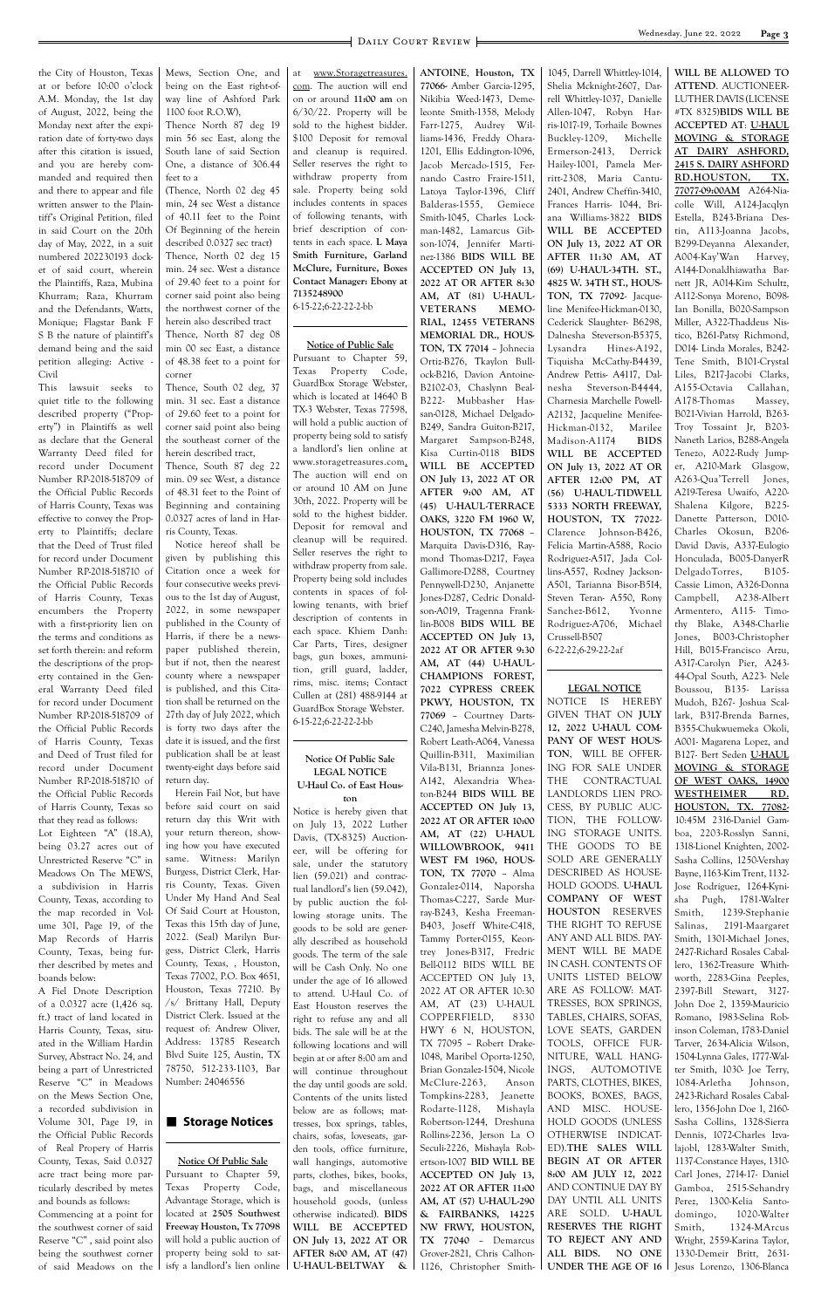the City of Houston, Texas at or before 10:00 o'clock A.M. Monday, the 1st day of August, 2022, being the Monday next after the expiration date of forty-two days after this citation is issued, and you are hereby commanded and required then and there to appear and file written answer to the Plaintiff's Original Petition, filed in said Court on the 20th day of May, 2022, in a suit numbered 202230193 docket of said court, wherein the Plaintiffs, Raza, Mubina Khurram; Raza, Khurram and the Defendants, Watts, Monique; Flagstar Bank F S B the nature of plaintiff's demand being and the said petition alleging: Active - Civil

This lawsuit seeks to quiet title to the following described property ("Property") in Plaintiffs as well as declare that the General Warranty Deed filed for record under Document Number RP-2018-518709 of the Official Public Records of Harris County, Texas was effective to convey the Property to Plaintiffs; declare that the Deed of Trust filed for record under Document Number RP-2018-518710 of the Official Public Records of Harris County, Texas encumbers the Property with a first-priority lien on the terms and conditions as set forth therein: and reform the descriptions of the property contained in the General Warranty Deed filed for record under Document Number RP-2018-518709 of the Official Public Records of Harris County, Texas and Deed of Trust filed for record under Document Number RP-2018-518710 of the Official Public Records of Harris County, Texas so that they read as follows: Lot Eighteen "A" (18.A), being 03.27 acres out of Unrestricted Reserve "C" in Meadows On The MEWS, a subdivision in Harris County, Texas, according to the map recorded in Volume 301, Page 19, of the Map Records of Harris County, Texas, being furMews, Section One, and being on the East right-ofway line of Ashford Park 1100 foot R.O.W),

Thence North 87 deg 19 min 56 sec East, along the South lane of said Section One, a distance of 306.44 feet to a

(Thence, North 02 deg 45 min, 24 sec West a distance of 40.11 feet to the Point Of Beginning of the herein described 0.0327 sec tract) Thence, North 02 deg 15 min. 24 sec. West a distance of 29.40 feet to a point for corner said point also being the northwest corner of the herein also described tract Thence, North 87 deg 08 min 00 sec East, a distance of 48.38 feet to a point for corner

Thence, South 02 deg, 37 min. 31 sec. East a distance of 29.60 feet to a point for corner said point also being the southeast corner of the herein described tract,

Thence, South 87 deg 22 min. 09 sec West, a distance of 48.31 feet to the Point of Beginning and containing 0.0327 acres of land in Harris County, Texas.

Notice hereof shall be given by publishing this Citation once a week for four consecutive weeks previous to the 1st day of August, 2022, in some newspaper published in the County of Harris, if there be a newspaper published therein, but if not, then the nearest county where a newspaper is published, and this Citation shall be returned on the 27th day of July 2022, which is forty two days after the date it is issued, and the first publication shall be at least twenty-eight days before said return day.

Herein Fail Not, but have before said court on said return day this Writ with your return thereon, showing how you have executed same. Witness: Marilyn Burgess, District Clerk, Harris County, Texas. Given Under My Hand And Seal Of Said Court at Houston, Texas this 15th day of June, 2022. (Seal) Marilyn Burgess, District Clerk, Harris at www.Storagetreasures. com. The auction will end on or around **11:00 am** on 6/30/22. Property will be sold to the highest bidder. \$100 Deposit for removal and cleanup is required. Seller reserves the right to withdraw property from sale. Property being sold includes contents in spaces of following tenants, with brief description of contents in each space. **L Maya Smith Furniture, Garland McClure, Furniture, Boxes Contact Manager: Ebony at 7135248900**

6-15-22;6-22-22-2-bb

#### **Notice of Public Sale**

Pursuant to Chapter 59, Texas Property Code, GuardBox Storage Webster, which is located at 14640 B TX-3 Webster, Texas 77598, will hold a public auction of property being sold to satisfy a landlord's lien online at www.storagetreasures.com. The auction will end on or around 10 AM on June 30th, 2022. Property will be sold to the highest bidder. Deposit for removal and cleanup will be required. Seller reserves the right to withdraw property from sale. Property being sold includes contents in spaces of following tenants, with brief description of contents in each space. Khiem Danh: Car Parts, Tires, designer bags, gun boxes, ammunition, grill guard, ladder, rims, misc. items; Contact Cullen at (281) 488-9144 at GuardBox Storage Webster. 6-15-22;6-22-22-2-bb

#### **Notice Of Public Sale LEGAL NOTICE U-Haul Co. of East Hous-**

**ton** Notice is hereby given that on July 13, 2022 Luther Davis, (TX-8325) Auctioneer, will be offering for sale, under the statutory lien (59.021) and contractual landlord's lien (59.042), by public auction the following storage units. The goods to be sold are generally described as household goods. The term of the sale

|                               |                               | $\epsilon$ over the term of the sale |                                   |                         |                              |
|-------------------------------|-------------------------------|--------------------------------------|-----------------------------------|-------------------------|------------------------------|
| ther described by metes and   | County, Texas, , Houston,     | will be Cash Only. No one            | Bell-0112 BIDS WILL BE            | IN CASH. CONTENTS OF    | lero, 1362-Treasure Whith-   |
| boands below:                 | Texas 77002, P.O. Box 4651,   | under the age of 16 allowed          | ACCEPTED ON July 13,              | UNITS LISTED BELOW      | worth, 2283-Gina Peeples,    |
| A Fiel Dnote Description      | Houston, Texas 77210. By      | to attend. U-Haul Co. of             | 2022 AT OR AFTER 10:30            | ARE AS FOLLOW: MAT-     | 2397-Bill Stewart, 3127-     |
| of a 0.0327 acre (1,426 sq.   | /s/ Brittany Hall, Deputy     | East Houston reserves the            | AM, AT (23) U-HAUL                | TRESSES, BOX SPRINGS,   | John Doe 2, 1359-Mauricio    |
| ft.) tract of land located in | District Clerk. Issued at the | right to refuse any and all          | COPPERFIELD,<br>8330              | TABLES, CHAIRS, SOFAS,  | Romano, 1983-Selina Rob-     |
| Harris County, Texas, situ-   | request of: Andrew Oliver,    | bids. The sale will be at the        | HWY 6 N, HOUSTON,                 | LOVE SEATS, GARDEN      | inson Coleman, 1783-Daniel   |
| ated in the William Hardin    | Address: 13785 Research       | following locations and will         | TX 77095 - Robert Drake-          | TOOLS, OFFICE FUR-      | Tarver, 2634-Alicia Wilson,  |
| Survey, Abstract No. 24, and  | Blvd Suite 125, Austin, TX    | begin at or after 8:00 am and        | 1048, Maribel Oporta-1250,        | NITURE, WALL HANG-      | 1504-Lynna Gales, 1777-Wal-  |
| being a part of Unrestricted  | 78750, 512-233-1103, Bar      | will continue throughout             | Brian Gonzalez-1504, Nicole       | INGS,<br>AUTOMOTIVE     | ter Smith, 1030- Joe Terry,  |
| Reserve "C" in Meadows        | Number: 24046556              | the day until goods are sold.        | McClure-2263,<br>Anson            | PARTS, CLOTHES, BIKES,  | 1084-Arletha<br>Johnson,     |
| on the Mews Section One,      |                               | Contents of the units listed         | Tompkins-2283,<br><b>Jeanette</b> | BOOKS, BOXES, BAGS,     | 2423-Richard Rosales Cabal-  |
| a recorded subdivision in     |                               | below are as follows; mat-           | Rodarte-1128,<br>Mishayla         | MISC.<br>HOUSE-<br>AND. | lero, 1356-John Doe 1, 2160- |
| Volume 301, Page 19, in       | Storage Notices               | tresses, box springs, tables,        | Robertson-1244, Dreshuna          | HOLD GOODS (UNLESS      | Sasha Collins, 1328-Sierra   |
| the Official Public Records   |                               | chairs, sofas, loveseats, gar-       | Rollins-2236, Jerson La O         | OTHERWISE INDICAT-      | Dennis, 1072-Charles Izva-   |
| of Real Propery of Harris     |                               | den tools, office furniture,         | Seculi-2226, Mishayla Rob-        | ED).THE SALES WILL      | lajobl, 1283-Walter Smith,   |
| County, Texas, Said 0.0327    | <b>Notice Of Public Sale</b>  | wall hangings, automotive            | ertson-1007 BID WILL BE           | BEGIN AT OR AFTER       | 1137-Constance Hayes, 1310-  |
| acre tract being more par-    | Pursuant to Chapter 59,       | parts, clothes, bikes, books,        | ACCEPTED ON July 13,              | 8:00 AM JULY 12, 2022   | Carl Jones, 2714-17- Daniel  |
| ticularly described by metes  | Property Code,<br>Texas       | bags, and miscellaneous              | 2022 AT OR AFTER 11:00            | AND CONTINUE DAY BY     | 2515-Sehandry<br>Gamboa,     |
| and bounds as follows:        | Advantage Storage, which is   | household goods, (unless             | AM, AT (57) U-HAUL-290            | DAY UNTIL ALL UNITS     | Perez, 1300-Kelia Santo-     |
| Commencing at a point for     | located at 2505 Southwest     | otherwise indicated). BIDS           | & FAIRBANKS, 14225                | ARE SOLD. U-HAUL        | 1020-Walter<br>domingo,      |
| the southwest corner of said  | Freeway Houston, Tx 77098     | WILL BE ACCEPTED                     | NW FRWY, HOUSTON,                 | RESERVES THE RIGHT      | 1324-MArcus<br>Smith,        |
| Reserve "C", said point also  | will hold a public auction of | ON July 13, 2022 AT OR               | TX 77040 - Demarcus               | TO REJECT ANY AND       | Wright, 2559-Karina Taylor,  |
| being the southwest corner    | property being sold to sat-   | AFTER 8:00 AM, AT (47)               | Grover-2821, Chris Calhon-        | ALL BIDS.<br>NO ONE     | 1330-Demeir Britt, 2631-     |
| of said Meadows on the        | isfy a landlord's lien online | U-HAUL-BELTWAY<br>&                  | 1126, Christopher Smith-          | UNDER THE AGE OF 16     | Jesus Lorenzo, 1306-Blanca   |

**ANTOINE**, **Houston, TX 77066-** Amber Garcia-1295, Nikibia Weed-1473, Demeleonte Smith-1358, Melody Farr-1275, Audrey Williams-1436, Freddy Ohara-1201, Ellis Eddington-1096, Jacob Mercado-1515, Fernando Castro Fraire-1511, Latoya Taylor-1396, Cliff Balderas-1555, Gemiece Smith-1045, Charles Lockman-1482, Lamarcus Gibson-1074, Jennifer Martinez-1386 **BIDS WILL BE ACCEPTED ON July 13, 2022 AT OR AFTER 8:30 AM, AT (81) U-HAUL-VETERANS MEMO-RIAL, 12455 VETERANS MEMORIAL DR., HOUS-TON, TX 77014** – Johnecia Ortiz-B276, Tkaylon Bullock-B216, Davion Antoine-B2102-03, Chaslynn Beal-B222- Mubbasher Hassan-0128, Michael Delgado-B249, Sandra Guiton-B217, Margaret Sampson-B248, Kisa Curtin-0118 **BIDS WILL BE ACCEPTED ON July 13, 2022 AT OR AFTER 9:00 AM, AT (45) U-HAUL-TERRACE OAKS, 3220 FM 1960 W, HOUSTON, TX 77068** – Marquita Davis-D316, Raymond Thomas-D217, Fayea Gallimore-D288, Courtney Pennywell-D230, Anjanette Jones-D287, Cedric Donaldson-A019, Tragenna Franklin-B008 **BIDS WILL BE ACCEPTED ON July 13, 2022 AT OR AFTER 9:30 AM, AT (44) U-HAUL-CHAMPIONS FOREST, 7022 CYPRESS CREEK PKWY, HOUSTON, TX 77069** – Courtney Darts-C240, Jamesha Melvin-B278, Robert Leath-A064, Vanessa Quillin-B311, Maximilian Vila-B131, Briannza Jones-A142, Alexandria Wheaton-B244 **BIDS WILL BE ACCEPTED ON July 13, 2022 AT OR AFTER 10:00 AM, AT (22) U-HAUL WILLOWBROOK, 9411 WEST FM 1960, HOUS-TON, TX 77070** – Alma Gonzalez-0114, Naporsha Thomas-C227, Sarde Murray-B243, Kesha Freeman-B403, Joseff White-C418, Tammy Porter-0155, Keontrey Jones-B317, Fredric

1045, Darrell Whittley-1014, Shelia Mcknight-2607, Darrell Whittley-1037, Danielle Allen-1047, Robyn Harris-1017-19, Torhaile Bownes Buckley-1209, Michelle Ermerson-2413, Derrick Hailey-1001, Pamela Merritt-2308, Maria Cantu-2401, Andrew Cheffin-3410, Frances Harris- 1044, Briana Williams-3822 **BIDS WILL BE ACCEPTED ON July 13, 2022 AT OR AFTER 11:30 AM, AT (69) U-HAUL-34TH. ST., 4825 W. 34TH ST., HOUS-TON, TX 77092**- Jacqueline Menifee-Hickman-0130, Cederick Slaughter- B6298, Dalnesha Steverson-B5375, Lysandra Hines-A192, Tiquisha McCathy-B4439, Andrew Pettis- A4117, Dalnesha Steverson-B4444, Charnesia Marchelle Powell-A2132, Jacqueline Menifee-Hickman-0132, Marilee Madison-A1174 **BIDS WILL BE ACCEPTED ON July 13, 2022 AT OR AFTER 12:00 PM, AT (56) U-HAUL-TIDWELL 5333 NORTH FREEWAY, HOUSTON, TX 77022**- Clarence Johnson-B426, Felicia Martin-A588, Rocio Rodriguez-A517, Jada Collins-A557, Rodney Jackson-A501, Tarianna Bisor-B514, Steven Teran- A550, Rony Sanchez-B612, Yvonne Rodriguez-A706, Michael Crussell-B507 6-22-22;6-29-22-2af

#### **LEGAL NOTICE**

NOTICE IS HEREBY GIVEN THAT ON **JULY 12, 2022 U-HAUL COM-PANY OF WEST HOUS-TON**, WILL BE OFFER-ING FOR SALE UNDER THE CONTRACTUAL LANDLORDS LIEN PRO-CESS, BY PUBLIC AUC-TION, THE FOLLOW-ING STORAGE UNITS. THE GOODS TO BE SOLD ARE GENERALLY DESCRIBED AS HOUSE-HOLD GOODS. **U-HAUL COMPANY OF WEST HOUSTON** RESERVES THE RIGHT TO REFUSE ANY AND ALL BIDS. PAY-MENT WILL BE MADE **WILL BE ALLOWED TO** 

**ATTEND**. AUCTIONEER-LUTHER DAVIS (LICENSE #TX 8325)**BIDS WILL BE ACCEPTED AT**: **U-HAUL MOVING & STORAGE AT DAIRY ASHFORD, 2415 S. DAIRY ASHFORD RD.HOUSTON, TX. 77077-09:00AM** A264-Niacolle Will, A124-Jacqlyn Estella, B243-Briana Destin, A113-Joanna Jacobs, B299-Deyanna Alexander, A004-Kay'Wan Harvey, A144-Donaldhiawatha Barnett JR, A014-Kim Schultz, A112-Sonya Moreno, B098- Ian Bonilla, B020-Sampson Miller, A322-Thaddeus Nistico, B261-Patsy Richmond, D014- Linda Morales, B242- Tene Smith, B101-Crystal Liles, B217-Jacobi Clarks, A155-Octavia Callahan, A178-Thomas Massey, B021-Vivian Harrold, B263- Troy Tossaint Jr, B203- Naneth Larios, B288-Angela Tenezo, A022-Rudy Jumper, A210-Mark Glasgow, A263-Qua'Terrell Jones, A219-Teresa Uwaifo, A220- Shalena Kilgore, B225- Danette Patterson, D010- Charles Okosun, B206- David Davis, A337-Eulogio Honculada, B005-DanyerR DelgadoTorres, B105- Cassie Limon, A326-Donna Campbell, A238-Albert Armentero, A115- Timothy Blake, A348-Charlie Jones, B003-Christopher Hill, B015-Francisco Arzu, A317-Carolyn Pier, A243- 44-Opal South, A223- Nele Boussou, B135- Larissa Mudoh, B267- Joshua Scallark, B317-Brenda Barnes, B355-Chukwuemeka Okoli, A001- Magarena Lopez, and B127- Bert Seden **U-HAUL MOVING & STORAGE OF WEST OAKS, 14900 WESTHEIMER RD. HOUSTON, TX. 77082-** 10:45M 2316-Daniel Gamboa, 2203-Rosslyn Sanni, 1318-Lionel Knighten, 2002- Sasha Collins, 1250-Vershay Bayne, 1163-Kim Trent, 1132- Jose Rodriguez, 1264-Kynisha Pugh, 1781-Walter Smith, 1239-Stephanie Salinas, 2191-Maargaret Smith, 1301-Michael Jones, 2427-Richard Rosales Cabal-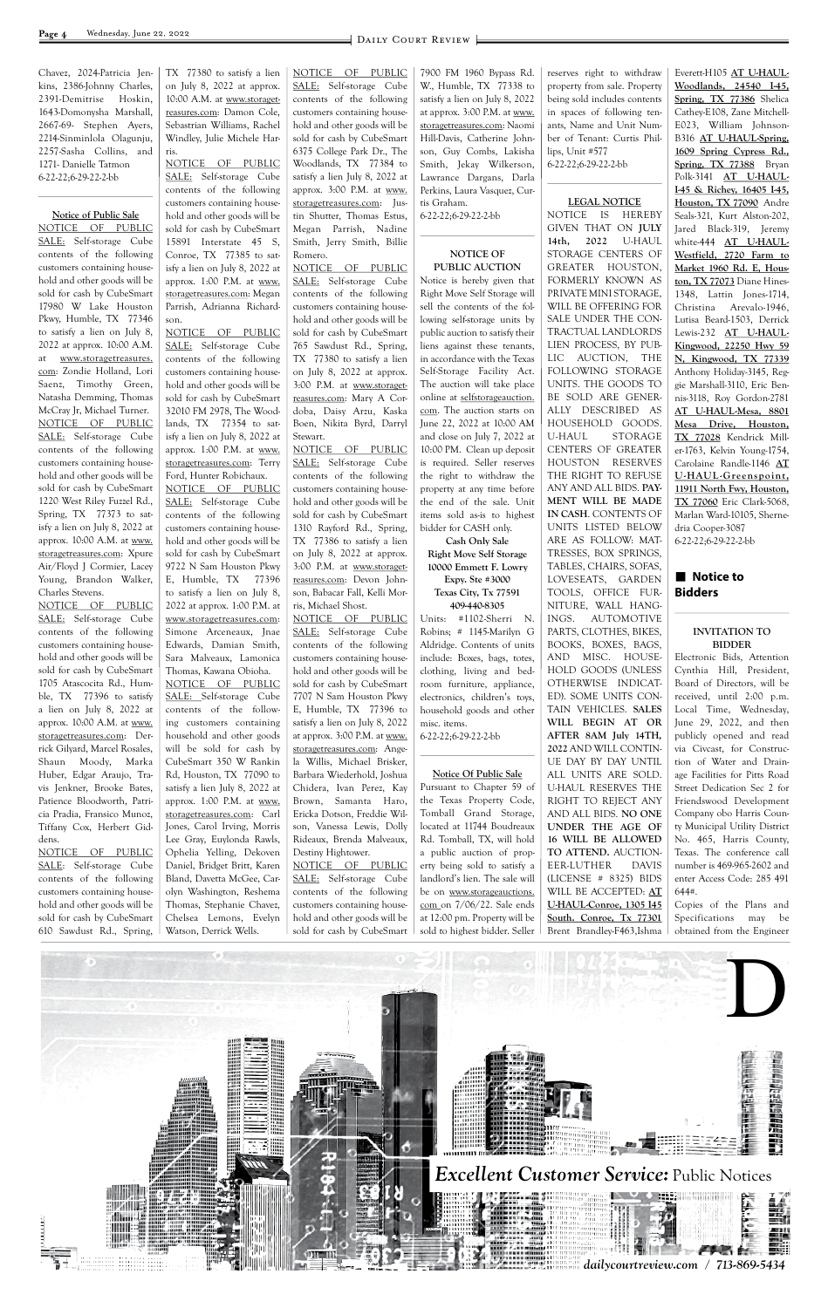

Chavez, 2024-Patricia Jenkins, 2386-Johnny Charles, 2391-Demitrise Hoskin, 1643-Domonysha Marshall, 2667-69- Stephen Ayers, 2214-Sinminlola Olagunju, 2257-Sasha Collins, and 1271- Danielle Tatmon 6-22-22;6-29-22-2-bb

#### **Notice of Public Sale**

NOTICE OF PUBLIC SALE: Self-storage Cube contents of the following customers containing household and other goods will be sold for cash by CubeSmart 17980 W Lake Houston Pkwy, Humble, TX 77346 to satisfy a lien on July 8, 2022 at approx. 10:00 A.M. at www.storagetreasures. com: Zondie Holland, Lori Saenz, Timothy Green, Natasha Demming, Thomas McCray Jr, Michael Turner. NOTICE OF PUBLIC SALE: Self-storage Cube contents of the following customers containing household and other goods will be sold for cash by CubeSmart 1220 West Riley Fuzzel Rd., Spring, TX 77373 to satisfy a lien on July 8, 2022 at approx. 10:00 A.M. at www. storagetreasures.com: Xpure Air/Floyd J Cormier, Lacey Young, Brandon Walker, Charles Stevens.

SALE: Self-storage Cube contents of the following customers containing household and other goods will be sold for cash by CubeSmart 15891 Interstate 45 S, Conroe, TX 77385 to satisfy a lien on July 8, 2022 at approx. 1:00 P.M. at www. storagetreasures.com: Megan Parrish, Adrianna Richardson.

NOTICE OF PUBLIC SALE: Self-storage Cube contents of the following customers containing household and other goods will be sold for cash by CubeSmart 1705 Atascocita Rd., Humble, TX 77396 to satisfy a lien on July 8, 2022 at approx. 10:00 A.M. at www. storagetreasures.com: Derrick Gilyard, Marcel Rosales, Shaun Moody, Marka Huber, Edgar Araujo, Travis Jenkner, Brooke Bates, Patience Bloodworth, Patricia Pradia, Fransico Munoz, Tiffany Cox, Herbert Giddens.

NOTICE OF PUBLIC SALE: Self-storage Cube contents of the following customers containing household and other goods will be sold for cash by CubeSmart 610 Sawdust Rd., Spring, TX 77380 to satisfy a lien on July 8, 2022 at approx. 10:00 A.M. at www.storagetreasures.com: Damon Cole, Sebastrian Williams, Rachel Windley, Julie Michele Harris. NOTICE OF PUBLIC

NOTICE OF PUBLIC SALE: Self-storage Cube contents of the following customers containing household and other goods will be sold for cash by CubeSmart 32010 FM 2978, The Woodlands, TX 77354 to satisfy a lien on July 8, 2022 at approx. 1:00 P.M. at www. storagetreasures.com: Terry Ford, Hunter Robichaux. NOTICE OF PUBLIC SALE: Self-storage Cube contents of the following customers containing household and other goods will be sold for cash by CubeSmart 9722 N Sam Houston Pkwy E, Humble, TX 77396 to satisfy a lien on July 8, 2022 at approx. 1:00 P.M. at www.storagetreasures.com: Simone Arceneaux, Jnae Edwards, Damian Smith, Sara Malveaux, Lamonica Thomas, Kawana Obioha. NOTICE OF PUBLIC SALE: Self-storage Cube contents of the following customers containing household and other goods will be sold for cash by CubeSmart 350 W Rankin Rd, Houston, TX 77090 to satisfy a lien July 8, 2022 at approx. 1:00 P.M. at www. storagetreasures.com: Carl Jones, Carol Irving, Morris Lee Gray, Euylonda Rawls, Ophelia Yelling, Dekoven Daniel, Bridget Britt, Karen Bland, Davetta McGee, Carolyn Washington, Reshema Thomas, Stephanie Chavez, Chelsea Lemons, Evelyn Watson, Derrick Wells.

Pursuant to Chapter 59 of the Texas Property Code, Tomball Grand Storage, located at 11744 Boudreaux Rd. Tomball, TX, will hold a public auction of property being sold to satisfy a landlord's lien. The sale will be on www.storageauctions. com on 7/06/22. Sale ends at 12:00 pm. Property will be sold to highest bidder. Seller

NOTICE OF PUBLIC SALE: Self-storage Cube contents of the following customers containing household and other goods will be sold for cash by CubeSmart 6375 College Park Dr., The Woodlands, TX 77384 to satisfy a lien July 8, 2022 at approx. 3:00 P.M. at www. storagetreasures.com: Justin Shutter, Thomas Estus, Megan Parrish, Nadine Smith, Jerry Smith, Billie Romero.

NOTICE OF PUBLIC SALE: Self-storage Cube contents of the following customers containing household and other goods will be sold for cash by CubeSmart 765 Sawdust Rd., Spring, TX 77380 to satisfy a lien on July 8, 2022 at approx. 3:00 P.M. at www.storagetreasures.com: Mary A Cordoba, Daisy Arzu, Kaska Boen, Nikita Byrd, Darryl Stewart.

NOTICE OF PUBLIC SALE: Self-storage Cube contents of the following customers containing household and other goods will be sold for cash by CubeSmart 1310 Rayford Rd., Spring, TX 77386 to satisfy a lien on July 8, 2022 at approx. 3:00 P.M. at www.storagetreasures.com: Devon Johnson, Babacar Fall, Kelli Morris, Michael Shost.

#### ■ Notice to **Bidders**

NOTICE OF PUBLIC SALE: Self-storage Cube contents of the following customers containing household and other goods will be sold for cash by CubeSmart 7707 N Sam Houston Pkwy E, Humble, TX 77396 to satisfy a lien on July 8, 2022 at approx. 3:00 P.M. at www. storagetreasures.com: Angela Willis, Michael Brisker, Barbara Wiederhold, Joshua Chidera, Ivan Perez, Kay Brown, Samanta Haro, Ericka Dotson, Freddie Wilson, Vanessa Lewis, Dolly Rideaux, Brenda Malveaux, Destiny Hightower. NOTICE OF PUBLIC

SALE: Self-storage Cube contents of the following customers containing household and other goods will be sold for cash by CubeSmart

7900 FM 1960 Bypass Rd. W., Humble, TX 77338 to satisfy a lien on July 8, 2022 at approx. 3:00 P.M. at www. storagetreasures.com: Naomi Hill-Davis, Catherine Johnson, Guy Combs, Lakisha Smith, Jekay Wilkerson, Lawrance Dargans, Darla Perkins, Laura Vasquez, Curtis Graham. 6-22-22;6-29-22-2-bb

#### **NOTICE OF PUBLIC AUCTION**

Notice is hereby given that Right Move Self Storage will sell the contents of the following self-storage units by public auction to satisfy their liens against these tenants, in accordance with the Texas Self-Storage Facility Act. The auction will take place online at selfstorageauction. com. The auction starts on June 22, 2022 at 10:00 AM and close on July 7, 2022 at 10:00 PM. Clean up deposit is required. Seller reserves the right to withdraw the property at any time before the end of the sale. Unit items sold as-is to highest bidder for CASH only.

**Cash Only Sale Right Move Self Storage 10000 Emmett F. Lowry Expy. Ste #3000 Texas City, Tx 77591 409-440-8305**

Units: #1102-Sherri N. Robins; # 1145-Marilyn G Aldridge. Contents of units include: Boxes, bags, totes, clothing, living and bedroom furniture, appliance, electronics, children's toys, household goods and other misc. items. 6-22-22;6-29-22-2-bb

#### **Notice Of Public Sale**

reserves right to withdraw property from sale. Property being sold includes contents in spaces of following tenants, Name and Unit Number of Tenant: Curtis Phillips, Unit #577 6-22-22;6-29-22-2-bb

#### **LEGAL NOTICE**

NOTICE IS HEREBY GIVEN THAT ON **JULY 14th, 2022** U-HAUL STORAGE CENTERS OF GREATER HOUSTON, FORMERLY KNOWN AS PRIVATE MINI STORAGE, WILL BE OFFERING FOR SALE UNDER THE CON-TRACTUAL LANDLORDS LIEN PROCESS, BY PUB-LIC AUCTION, THE FOLLOWING STORAGE UNITS. THE GOODS TO BE SOLD ARE GENER-ALLY DESCRIBED AS HOUSEHOLD GOODS. U-HAUL STORAGE CENTERS OF GREATER HOUSTON RESERVES THE RIGHT TO REFUSE ANY AND ALL BIDS. **PAY-MENT WILL BE MADE IN CASH**. CONTENTS OF UNITS LISTED BELOW ARE AS FOLLOW: MAT-TRESSES, BOX SPRINGS, TABLES, CHAIRS, SOFAS, LOVESEATS, GARDEN TOOLS, OFFICE FUR-NITURE, WALL HANG-INGS. AUTOMOTIVE PARTS, CLOTHES, BIKES, BOOKS, BOXES, BAGS, AND MISC. HOUSE-HOLD GOODS (UNLESS OTHERWISE INDICAT-ED). SOME UNITS CON-TAIN VEHICLES. **SALES WILL BEGIN AT OR AFTER 8AM July 14TH, 2022** AND WILL CONTIN-UE DAY BY DAY UNTIL ALL UNITS ARE SOLD. U-HAUL RESERVES THE RIGHT TO REJECT ANY AND ALL BIDS. **NO ONE UNDER THE AGE OF 16 WILL BE ALLOWED TO ATTEND.** AUCTION-EER-LUTHER DAVIS (LICENSE # 8325) BIDS WILL BE ACCEPTED: **AT U-HAUL-Conroe, 1305 I45 South. Conroe, Tx 77301** Brent Brandley-F463,Ishma

Everett-H105 **AT U-HAUL-Woodlands, 24540 I-45, Spring, TX 77386** Shelica Cathey-E108, Zane Mitchell-E023, William Johnson-B316 **AT U-HAUL-Spring, 1609 Spring Cypress Rd., Spring, TX 77388** Bryan Polk-3141 **AT U-HAUL-I-45 & Richey, 16405 I-45, Houston, TX 77090** Andre Seals-321, Kurt Alston-202, Jared Black-319, Jeremy white-444 **AT U-HAUL-Westfield, 2720 Farm to Market 1960 Rd. E, Houston, TX 77073** Diane Hines-1348, Lattin Jones-1714, Christina Arevalo-1946, Lutisa Beard-1503, Derrick Lewis-232 **AT U-HAUL-Kingwood, 22250 Hwy 59 N, Kingwood, TX 77339** Anthony Holiday-3145, Reggie Marshall-3110, Eric Bennis-3118, Roy Gordon-2781 **AT U-HAUL-Mesa, 8801 Mesa Drive, Houston, TX 77028** Kendrick Miller-1763, Kelvin Young-1754, Carolaine Randle-1146 **AT U-HAUL -Greenspoint, 11911 North Fwy, Houston, TX 77060** Eric Clark-5068, Marlan Ward-10105, Shernedria Cooper-3087 6-22-22;6-29-22-2-bb

#### **INVITATION TO BIDDER**

Electronic Bids, Attention Cynthia Hill, President, Board of Directors, will be received, until 2:00 p.m. Local Time, Wednesday, June 29, 2022, and then publicly opened and read via Civcast, for Construction of Water and Drainage Facilities for Pitts Road Street Dedication Sec 2 for Friendswood Development Company obo Harris County Municipal Utility District No. 465, Harris County, Texas. The conference call number is 469-965-2602 and enter Access Code: 285 491 644#.

Copies of the Plans and Specifications may be obtained from the Engineer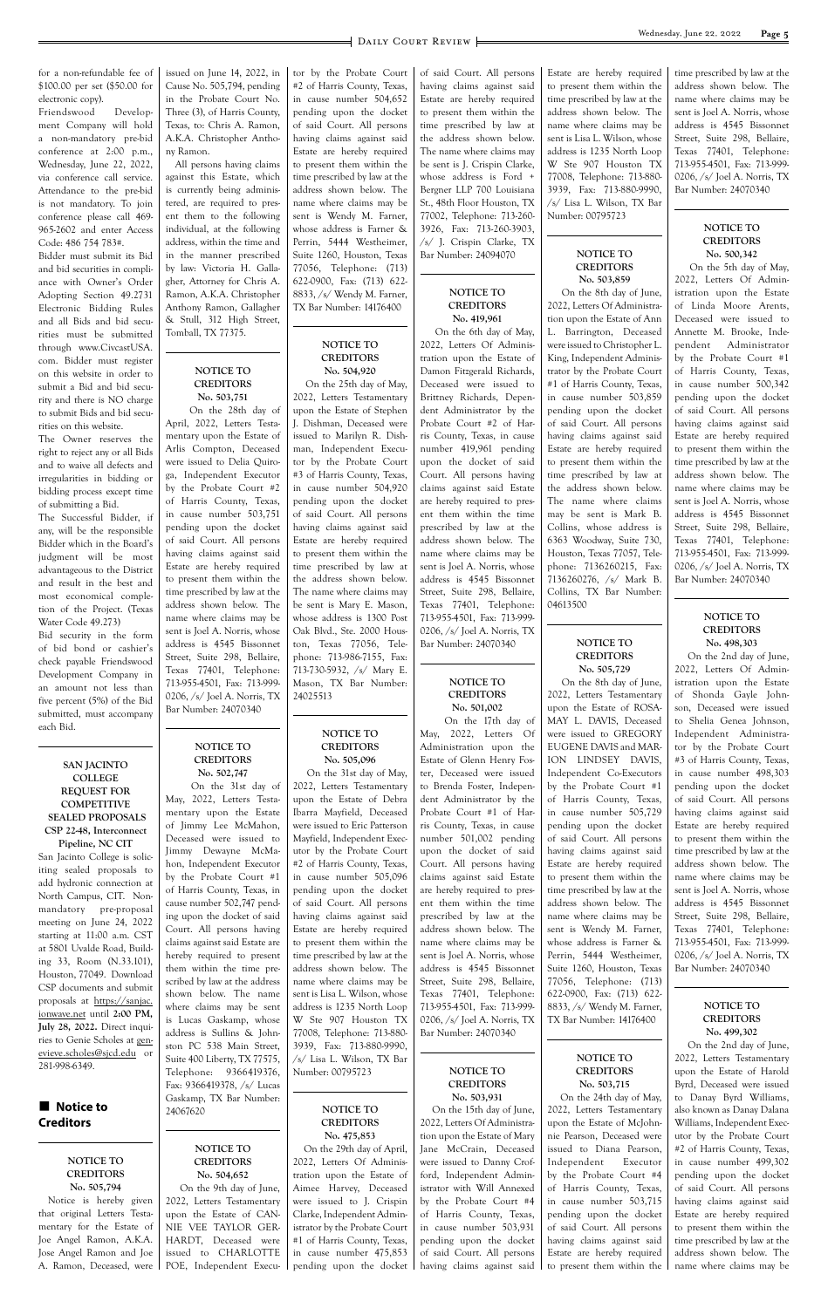for a non-refundable fee of \$100.00 per set (\$50.00 for electronic copy).

Friendswood Development Company will hold a non-mandatory pre-bid conference at 2:00 p.m., Wednesday, June 22, 2022, via conference call service. Attendance to the pre-bid is not mandatory. To join conference please call 469- 965-2602 and enter Access Code: 486 754 783#.

Bidder must submit its Bid and bid securities in compliance with Owner's Order Adopting Section 49.2731 Electronic Bidding Rules and all Bids and bid securities must be submitted through www.CivcastUSA. com. Bidder must register on this website in order to submit a Bid and bid security and there is NO charge to submit Bids and bid securities on this website.

The Owner reserves the right to reject any or all Bids and to waive all defects and irregularities in bidding or bidding process except time of submitting a Bid.

The Successful Bidder, if any, will be the responsible Bidder which in the Board's judgment will be most advantageous to the District and result in the best and most economical completion of the Project. (Texas Water Code 49.273)

Bid security in the form of bid bond or cashier's check payable Friendswood Development Company in an amount not less than five percent (5%) of the Bid submitted, must accompany each Bid.

#### **SAN JACINTO COLLEGE REQUEST FOR COMPETITIVE SEALED PROPOSALS CSP 22-48, Interconnect**

**Pipeline, NC CIT** San Jacinto College is soliciting sealed proposals to add hydronic connection at North Campus, CIT. Nonmandatory pre-proposal meeting on June 24, 2022 starting at 11:00 a.m. CST at 5801 Uvalde Road, Buildissued on June 14, 2022, in Cause No. 505,794, pending in the Probate Court No. Three (3), of Harris County, Texas, to: Chris A. Ramon, A.K.A. Christopher Anthony Ramon.

All persons having claims against this Estate, which is currently being administered, are required to present them to the following individual, at the following address, within the time and in the manner prescribed by law: Victoria H. Gallagher, Attorney for Chris A. Ramon, A.K.A. Christopher Anthony Ramon, Gallagher & Stull, 312 High Street, Tomball, TX 77375.

#### **NOTICE TO CREDITORS No. 503,751**

 On the 28th day of April, 2022, Letters Testamentary upon the Estate of Arlis Compton, Deceased were issued to Delia Quiroga, Independent Executor by the Probate Court #2 of Harris County, Texas, in cause number 503,751 pending upon the docket of said Court. All persons having claims against said Estate are hereby required to present them within the time prescribed by law at the address shown below. The name where claims may be sent is Joel A. Norris, whose address is 4545 Bissonnet Street, Suite 298, Bellaire, Texas 77401, Telephone: 713-955-4501, Fax: 713-999- 0206, /s/ Joel A. Norris, TX Bar Number: 24070340

#### **NOTICE TO CREDITORS No. 502,747**

 On the 31st day of May, 2022, Letters Testamentary upon the Estate of Jimmy Lee McMahon, Deceased were issued to Jimmy Dewayne McMahon, Independent Executor by the Probate Court #1 of Harris County, Texas, in cause number 502,747 pending upon the docket of said Court. All persons having claims against said Estate are hereby required to present tor by the Probate Court #2 of Harris County, Texas, in cause number 504,652 pending upon the docket of said Court. All persons having claims against said Estate are hereby required to present them within the time prescribed by law at the address shown below. The name where claims may be sent is Wendy M. Farner, whose address is Farner & Perrin, 5444 Westheimer, Suite 1260, Houston, Texas 77056, Telephone: (713) 622-0900, Fax: (713) 622- 8833, /s/ Wendy M. Farner, TX Bar Number: 14176400

#### **NOTICE TO CREDITORS No. 504,920**

 On the 25th day of May, 2022, Letters Testamentary upon the Estate of Stephen J. Dishman, Deceased were issued to Marilyn R. Dishman, Independent Executor by the Probate Court #3 of Harris County, Texas, in cause number 504,920 pending upon the docket of said Court. All persons having claims against said Estate are hereby required to present them within the time prescribed by law at the address shown below. The name where claims may be sent is Mary E. Mason, whose address is 1300 Post Oak Blvd., Ste. 2000 Houston, Texas 77056, Telephone: 713-986-7155, Fax: 713-730-5932, /s/ Mary E. Mason, TX Bar Number: 24025513

#### **NOTICE TO CREDITORS No. 505,096**

 On the 31st day of May, 2022, Letters Testamentary upon the Estate of Debra Ibarra Mayfield, Deceased were issued to Eric Patterson Mayfield, Independent Executor by the Probate Court #2 of Harris County, Texas, in cause number 505,096 pending upon the docket of said Court. All persons having claims against said Estate are hereby required to present them within the time prescribed by law at the

of said Court. All persons having claims against said Estate are hereby required to present them within the time prescribed by law at the address shown below. The name where claims may be sent is J. Crispin Clarke, whose address is Ford + Bergner LLP 700 Louisiana St., 48th Floor Houston, TX 77002, Telephone: 713-260- 3926, Fax: 713-260-3903, /s/ J. Crispin Clarke, TX Bar Number: 24094070

#### **NOTICE TO CREDITORS No. 419,961**

 On the 6th day of May, 2022, Letters Of Administration upon the Estate of Damon Fitzgerald Richards, Deceased were issued to Brittney Richards, Dependent Administrator by the Probate Court #2 of Harris County, Texas, in cause number 419,961 pending upon the docket of said Court. All persons having claims against said Estate are hereby required to present them within the time prescribed by law at the address shown below. The name where claims may be sent is Joel A. Norris, whose address is 4545 Bissonnet Street, Suite 298, Bellaire, Texas 77401, Telephone: 713-955-4501, Fax: 713-999- 0206, /s/ Joel A. Norris, TX Bar Number: 24070340

| ing 33, Room (N.33.101),      | hereby required to present<br>them within the time pre- | three presenced by law at the<br>address shown below. The | $5$ CHC to JOCI TV. TWOTHS, WHOSE<br>address is 4545 Bissonnet | $\lceil$ , $\lceil$ westiming.<br>Suite 1260, Houston, Texas | $CECO$ , $7.97$ TOCLE COLLES, 123<br>Bar Number: 24070340 |
|-------------------------------|---------------------------------------------------------|-----------------------------------------------------------|----------------------------------------------------------------|--------------------------------------------------------------|-----------------------------------------------------------|
| Houston, 77049. Download      | scribed by law at the address                           | name where claims may be                                  | Street, Suite 298, Bellaire,                                   | 77056, Telephone: (713)                                      |                                                           |
| CSP documents and submit      | shown below. The name                                   | sent is Lisa L. Wilson, whose                             | Texas 77401, Telephone:                                        | 622-0900, Fax: (713) 622-                                    |                                                           |
| proposals at https://sanjac.  |                                                         |                                                           |                                                                |                                                              | NOTICE TO                                                 |
| ionwave.net until 2:00 PM,    | where claims may be sent                                | address is 1235 North Loop                                | 713-955-4501, Fax: 713-999-                                    | 8833, /s/ Wendy M. Farner,                                   | <b>CREDITORS</b>                                          |
| July 28, 2022. Direct inqui-  | is Lucas Gaskamp, whose                                 | W Ste 907 Houston TX                                      | 0206, /s/ Joel A. Norris, TX                                   | TX Bar Number: 14176400                                      |                                                           |
| ries to Genie Scholes at gen- | address is Sullins & John-                              | 77008, Telephone: 713-880-                                | Bar Number: 24070340                                           |                                                              | No. 499,302                                               |
| evieve.scholes@sjcd.edu or    | ston PC 538 Main Street,                                | 3939, Fax: 713-880-9990,                                  |                                                                |                                                              | On the 2nd day of June,                                   |
| 281-998-6349.                 | Suite 400 Liberty, TX 77575,                            | /s/ Lisa L. Wilson, TX Bar                                |                                                                | NOTICE TO                                                    | 2022, Letters Testamentary                                |
|                               | Telephone: 9366419376,                                  | Number: 00795723                                          | NOTICE TO                                                      | <b>CREDITORS</b>                                             | upon the Estate of Harold                                 |
|                               | Fax: 9366419378, /s/ Lucas                              |                                                           | <b>CREDITORS</b>                                               | No. 503,715                                                  | Byrd, Deceased were issued                                |
|                               | Gaskamp, TX Bar Number:                                 |                                                           | No. 503,931                                                    | On the 24th day of May,                                      | to Danay Byrd Williams,                                   |
| Notice to                     | 24067620                                                | NOTICE TO                                                 | On the 15th day of June,                                       | 2022, Letters Testamentary                                   | also known as Danay Dalana                                |
| <b>Creditors</b>              |                                                         | <b>CREDITORS</b>                                          | 2022, Letters Of Administra-                                   | upon the Estate of McJohn-                                   | Williams, Independent Exec-                               |
|                               |                                                         | No. 475,853                                               | tion upon the Estate of Mary                                   | nie Pearson, Deceased were                                   | utor by the Probate Court                                 |
|                               | <b>NOTICE TO</b>                                        | On the 29th day of April,                                 | Jane McCrain, Deceased                                         | issued to Diana Pearson,                                     | #2 of Harris County, Texas,                               |
| NOTICE TO                     | <b>CREDITORS</b>                                        | 2022, Letters Of Adminis-                                 | were issued to Danny Crof-                                     | Independent<br>Executor                                      | in cause number 499,302                                   |
| <b>CREDITORS</b>              | No. 504,652                                             | tration upon the Estate of                                | ford, Independent Admin-                                       | by the Probate Court #4                                      | pending upon the docket                                   |
| No. 505,794                   | On the 9th day of June,                                 | Aimee Harvey, Deceased                                    | istrator with Will Annexed                                     | of Harris County, Texas,                                     | of said Court. All persons                                |
| Notice is hereby given        | 2022, Letters Testamentary                              | were issued to J. Crispin                                 | by the Probate Court #4                                        | in cause number 503,715                                      | having claims against said                                |
| that original Letters Testa-  | upon the Estate of CAN-                                 | Clarke, Independent Admin-                                | of Harris County, Texas,                                       | pending upon the docket                                      | Estate are hereby required                                |
| mentary for the Estate of     | NIE VEE TAYLOR GER-                                     | istrator by the Probate Court                             | in cause number 503,931                                        | of said Court. All persons                                   | to present them within the                                |
| Joe Angel Ramon, A.K.A.       | HARDT, Deceased were                                    | #1 of Harris County, Texas,                               | pending upon the docket                                        | having claims against said                                   | time prescribed by law at the                             |
| Jose Angel Ramon and Joe      | issued to CHARLOTTE                                     | in cause number 475,853                                   | of said Court. All persons                                     | Estate are hereby required                                   | address shown below. The                                  |
| A. Ramon, Deceased, were 1    | POE, Independent Execu-                                 | pending upon the docket I                                 | having claims against said                                     | to present them within the                                   | name where claims may be                                  |
|                               |                                                         |                                                           |                                                                |                                                              |                                                           |
|                               |                                                         |                                                           |                                                                |                                                              |                                                           |

#### **NOTICE TO CREDITORS No. 501,002**

 On the 17th day of May, 2022, Letters Of Administration upon the Estate of Glenn Henry Foster, Deceased were issued to Brenda Foster, Independent Administrator by the Probate Court #1 of Harris County, Texas, in cause number 501,002 pending upon the docket of said Court. All persons having claims against said Estate are hereby required to present them within the time prescribed by law at the address shown below. The name where claims may be sent is Joel A. Norris, whose

Estate are hereby required to present them within the time prescribed by law at the address shown below. The name where claims may be sent is Lisa L. Wilson, whose address is 1235 North Loop W Ste 907 Houston TX 77008, Telephone: 713-880- 3939, Fax: 713-880-9990, /s/ Lisa L. Wilson, TX Bar Number: 00795723

#### **NOTICE TO CREDITORS No. 503,859**

 On the 8th day of June, 2022, Letters Of Administration upon the Estate of Ann L. Barrington, Deceased were issued to Christopher L. King, Independent Administrator by the Probate Court #1 of Harris County, Texas, in cause number 503,859 pending upon the docket of said Court. All persons having claims against said Estate are hereby required to present them within the time prescribed by law at the address shown below. The name where claims may be sent is Mark B. Collins, whose address is 6363 Woodway, Suite 730, Houston, Texas 77057, Telephone: 7136260215, Fax: 7136260276, /s/ Mark B. Collins, TX Bar Number: 04613500

#### **NOTICE TO CREDITORS No. 505,729**

 On the 8th day of June, 2022, Letters Testamentary upon the Estate of ROSA-MAY L. DAVIS, Deceased were issued to GREGORY EUGENE DAVIS and MAR-ION LINDSEY DAVIS, Independent Co-Executors by the Probate Court #1 of Harris County, Texas, in cause number 505,729 pending upon the docket of said Court. All persons having claims against said Estate are hereby required to present them within the time prescribed by law at the address shown below. The name where claims may be sent is Wendy M. Farner, whose address is Farner & Perrin, 5444 Westheimer,

time prescribed by law at the address shown below. The name where claims may be sent is Joel A. Norris, whose address is 4545 Bissonnet Street, Suite 298, Bellaire, Texas 77401, Telephone: 713-955-4501, Fax: 713-999- 0206, /s/ Joel A. Norris, TX Bar Number: 24070340

#### **NOTICE TO CREDITORS No. 500,342**

 On the 5th day of May, 2022, Letters Of Administration upon the Estate of Linda Moore Arents, Deceased were issued to Annette M. Brooke, Independent Administrator by the Probate Court #1 of Harris County, Texas, in cause number 500,342 pending upon the docket of said Court. All persons having claims against said Estate are hereby required to present them within the time prescribed by law at the address shown below. The name where claims may be sent is Joel A. Norris, whose address is 4545 Bissonnet Street, Suite 298, Bellaire, Texas 77401, Telephone: 713-955-4501, Fax: 713-999- 0206, /s/ Joel A. Norris, TX Bar Number: 24070340

#### **NOTICE TO CREDITORS No. 498,303**

 On the 2nd day of June, 2022, Letters Of Administration upon the Estate of Shonda Gayle Johnson, Deceased were issued to Shelia Genea Johnson, Independent Administrator by the Probate Court #3 of Harris County, Texas, in cause number 498,303 pending upon the docket of said Court. All persons having claims against said Estate are hereby required to present them within the time prescribed by law at the address shown below. The name where claims may be sent is Joel A. Norris, whose address is 4545 Bissonnet Street, Suite 298, Bellaire, Texas 77401, Telephone: 713-955-4501, Fax: 713-999- 0206, /s/ Joel A. Norris, TX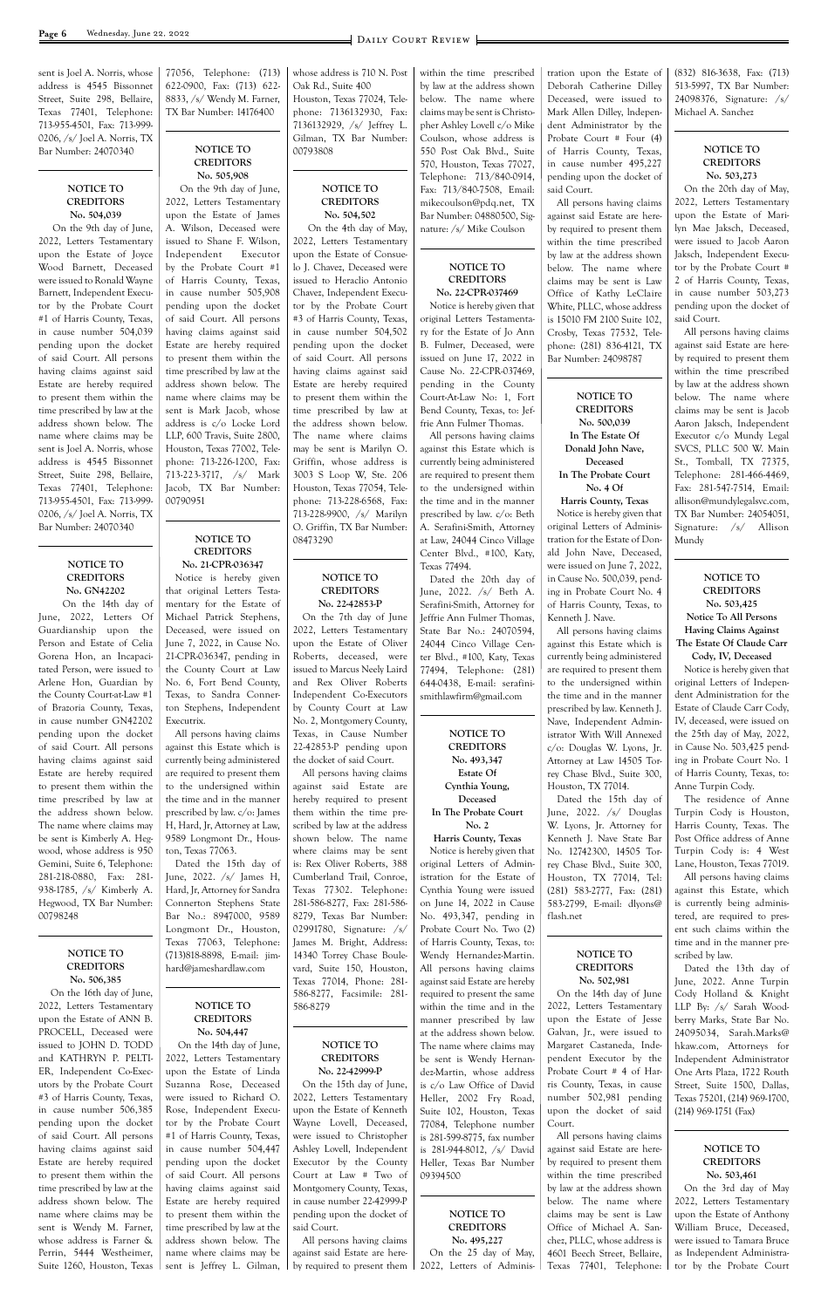sent is Joel A. Norris, whose address is 4545 Bissonnet Street, Suite 298, Bellaire, Texas 77401, Telephone: 713-955-4501, Fax: 713-999- 0206, /s/ Joel A. Norris, TX Bar Number: 24070340

#### **NOTICE TO CREDITORS No. 504,039**

 On the 9th day of June, 2022, Letters Testamentary upon the Estate of Joyce Wood Barnett, Deceased were issued to Ronald Wayne Barnett, Independent Executor by the Probate Court #1 of Harris County, Texas, in cause number 504,039 pending upon the docket of said Court. All persons having claims against said Estate are hereby required to present them within the time prescribed by law at the address shown below. The name where claims may be sent is Joel A. Norris, whose address is 4545 Bissonnet Street, Suite 298, Bellaire, Texas 77401, Telephone: 713-955-4501, Fax: 713-999- 0206, /s/ Joel A. Norris, TX Bar Number: 24070340

#### **NOTICE TO CREDITORS No. GN42202**

 On the 14th day of June, 2022, Letters Of Guardianship upon the Person and Estate of Celia Gorena Hon, an Incapacitated Person, were issued to Arlene Hon, Guardian by the County Court-at-Law #1 of Brazoria County, Texas, in cause number GN42202 pending upon the docket of said Court. All persons having claims against said Estate are hereby required to present them within the time prescribed by law at the address shown below. The name where claims may be sent is Kimberly A. Hegwood, whose address is 950 Gemini, Suite 6, Telephone: 281-218-0880, Fax: 281- 938-1785, /s/ Kimberly A. Hegwood, TX Bar Number: 00798248

**NOTICE TO**

77056, Telephone: (713) 622-0900, Fax: (713) 622- 8833, /s/ Wendy M. Farner, TX Bar Number: 14176400

#### **NOTICE TO CREDITORS No. 505,908**

 On the 9th day of June, 2022, Letters Testamentary upon the Estate of James A. Wilson, Deceased were issued to Shane F. Wilson, Independent Executor by the Probate Court #1 of Harris County, Texas, in cause number 505,908 pending upon the docket of said Court. All persons having claims against said Estate are hereby required to present them within the time prescribed by law at the address shown below. The name where claims may be sent is Mark Jacob, whose address is c/o Locke Lord LLP, 600 Travis, Suite 2800, Houston, Texas 77002, Telephone: 713-226-1200, Fax: 713-223-3717, /s/ Mark Jacob, TX Bar Number: 00790951

#### **NOTICE TO CREDITORS No. 21-CPR-036347**

Notice is hereby given that original Letters Testamentary for the Estate of Michael Patrick Stephens, Deceased, were issued on June 7, 2022, in Cause No. 21-CPR-036347, pending in the County Court at Law No. 6, Fort Bend County, Texas, to Sandra Connerton Stephens, Independent Executrix.

All persons having claims against this Estate which is currently being administered are required to present them to the undersigned within the time and in the manner prescribed by law. c/o: James H, Hard, Jr, Attorney at Law, 9589 Longmont Dr., Houston, Texas 77063.

Dated the 15th day of June, 2022. /s/ James H, Hard, Jr, Attorney for Sandra Connerton Stephens State Bar No.: 8947000, 9589 Longmont Dr., Houston, Texas 77063, Telephone: (713)818-8898, E-mail: jimwhose address is 710 N. Post Oak Rd., Suite 400 Houston, Texas 77024, Telephone: 7136132930, Fax: 7136132929, /s/ Jeffrey L. Gilman, TX Bar Number: 00793808

#### **NOTICE TO CREDITORS No. 504,502**

 On the 4th day of May, 2022, Letters Testamentary upon the Estate of Consuelo J. Chavez, Deceased were issued to Heraclio Antonio Chavez, Independent Executor by the Probate Court #3 of Harris County, Texas, in cause number 504,502 pending upon the docket of said Court. All persons having claims against said Estate are hereby required to present them within the time prescribed by law at the address shown below. The name where claims may be sent is Marilyn O. Griffin, whose address is 3003 S Loop W, Ste. 206 Houston, Texas 77054, Telephone: 713-228-6568, Fax: 713-228-9900, /s/ Marilyn O. Griffin, TX Bar Number: 08473290

#### **NOTICE TO CREDITORS No. 22-42853-P**

On the 7th day of June 2022, Letters Testamentary upon the Estate of Oliver Roberts, deceased, were issued to Marcus Neely Laird and Rex Oliver Roberts Independent Co-Executors by County Court at Law No. 2, Montgomery County, Texas, in Cause Number 22-42853-P pending upon the docket of said Court.

All persons having claims against said Estate are hereby required to present them within the time prescribed by law at the address shown below. The name where claims may be sent is: Rex Oliver Roberts, 388 Cumberland Trail, Conroe, Texas 77302. Telephone: 281-586-8277, Fax: 281-586- 8279, Texas Bar Number: 02991780, Signature: /s/ James M. Bright, Address: 14340 Torrey Chase Boule-

within the time prescribed by law at the address shown below. The name where claims may be sent is Christopher Ashley Lovell c/o Mike Coulson, whose address is 550 Post Oak Blvd., Suite 570, Houston, Texas 77027, Telephone: 713/840-0914, Fax: 713/840-7508, Email: mikecoulson@pdq.net, TX Bar Number: 04880500, Signature: /s/ Mike Coulson

#### **NOTICE TO CREDITORS No. 22-CPR-037469**

Notice is hereby given that original Letters Testamentary for the Estate of Jo Ann B. Fulmer, Deceased, were issued on June 17, 2022 in Cause No. 22-CPR-037469, pending in the County Court-At-Law No: 1, Fort Bend County, Texas, to: Jeffrie Ann Fulmer Thomas.

| <b>CREDITORS</b>              | hard@jameshardlaw.com         | vard, Suite 150, Houston,     | All persons having claims      | <b>CREDITORS</b>              | Dated the 13th day of        |
|-------------------------------|-------------------------------|-------------------------------|--------------------------------|-------------------------------|------------------------------|
| No. 506,385                   |                               | Texas 77014, Phone: 281-      | against said Estate are hereby | No. 502,981                   | June, 2022. Anne Turpin      |
| On the 16th day of June,      |                               | 586-8277, Facsimile: 281-     | required to present the same   | On the 14th day of June       | Cody Holland & Knight        |
| 2022, Letters Testamentary    | NOTICE TO                     | 586-8279                      | within the time and in the     | 2022, Letters Testamentary    | LLP By: $/s/$ Sarah Wood-    |
| upon the Estate of ANN B.     | <b>CREDITORS</b>              |                               | manner prescribed by law       | upon the Estate of Jesse      | berry Marks, State Bar No.   |
| PROCELL, Deceased were        | No. 504,447                   |                               | at the address shown below.    | Galvan, Jr., were issued to   | 24095034, Sarah.Marks@       |
| issued to JOHN D. TODD        | On the 14th day of June,      | NOTICE TO                     | The name where claims may      | Margaret Castaneda, Inde-     | hkaw.com, Attorneys for      |
| and KATHRYN P. PELTI-         | 2022, Letters Testamentary    | <b>CREDITORS</b>              | be sent is Wendy Hernan-       | pendent Executor by the       | Independent Administrator    |
| ER, Independent Co-Exec-      | upon the Estate of Linda      | No. 22-42999-P                | dez-Martin, whose address      | Probate Court # 4 of Har-     | One Arts Plaza, 1722 Routh   |
| utors by the Probate Court    | Suzanna Rose, Deceased        | On the 15th day of June,      | is c/o Law Office of David     | ris County, Texas, in cause   | Street, Suite 1500, Dallas,  |
| #3 of Harris County, Texas,   | were issued to Richard O.     | 2022, Letters Testamentary    | Heller, 2002 Fry Road,         | number 502,981 pending        | Texas 75201, (214) 969-1700, |
| in cause number 506,385       | Rose, Independent Execu-      | upon the Estate of Kenneth    | Suite 102, Houston, Texas      | upon the docket of said       | $(214)$ 969-1751 (Fax)       |
| pending upon the docket       | tor by the Probate Court      | Wayne Lovell, Deceased,       | 77084, Telephone number        | Court.                        |                              |
| of said Court. All persons    | #1 of Harris County, Texas,   | were issued to Christopher    | is 281-599-8775, fax number    | All persons having claims     |                              |
| having claims against said    | in cause number 504,447       | Ashley Lovell, Independent    | is 281-944-8012, /s/ David     | against said Estate are here- | NOTICE TO                    |
| Estate are hereby required    | pending upon the docket       | Executor by the County        | Heller, Texas Bar Number       | by required to present them   | <b>CREDITORS</b>             |
| to present them within the    | of said Court. All persons    | Court at Law $#$ Two of       | 09394500                       | within the time prescribed    | No. 503,461                  |
| time prescribed by law at the | having claims against said    | Montgomery County, Texas,     |                                | by law at the address shown   | On the 3rd day of May        |
| address shown below. The      | Estate are hereby required    | in cause number 22-42999-P    |                                | below. The name where         | 2022, Letters Testamentary   |
| name where claims may be      | to present them within the    | pending upon the docket of    | NOTICE TO                      | claims may be sent is Law     | upon the Estate of Anthony   |
| sent is Wendy M. Farner,      | time prescribed by law at the | said Court.                   | <b>CREDITORS</b>               | Office of Michael A. San-     | William Bruce, Deceased,     |
| whose address is Farner &     | address shown below. The      | All persons having claims     | No. 495,227                    | chez, PLLC, whose address is  | were issued to Tamara Bruce  |
| Perrin, 5444 Westheimer,      | name where claims may be      | against said Estate are here- | On the 25 day of May,          | 4601 Beech Street, Bellaire,  | as Independent Administra-   |
| Suite 1260, Houston, Texas    | sent is Jeffrey L. Gilman,    | by required to present them   | 2022, Letters of Adminis-      | Texas 77401, Telephone:       | tor by the Probate Court     |
|                               |                               |                               |                                |                               |                              |
|                               |                               |                               |                                |                               |                              |

All persons having claims against this Estate which is currently being administered are required to present them to the undersigned within the time and in the manner prescribed by law. c/o: Beth A. Serafini-Smith, Attorney at Law, 24044 Cinco Village Center Blvd., #100, Katy, Texas 77494.

Dated the 20th day of June, 2022. /s/ Beth A. Serafini-Smith, Attorney for Jeffrie Ann Fulmer Thomas, State Bar No.: 24070594, 24044 Cinco Village Center Blvd., #100, Katy, Texas 77494, Telephone: (281) 644-0438, E-mail: serafinismithlawfirm@gmail.com

#### **NOTICE TO CREDITORS No. 493,347 Estate Of Cynthia Young, Deceased**

**In The Probate Court No. 2**

**Harris County, Texas** Notice is hereby given that original Letters of Administration for the Estate of Cynthia Young were issued on June 14, 2022 in Cause No. 493,347, pending in Probate Court No. Two (2) of Harris County, Texas, to: Wendy Hernandez-Martin.

tration upon the Estate of Deborah Catherine Dilley Deceased, were issued to Mark Allen Dilley, lndependent Administrator by the Probate Court # Four (4) of Harris County, Texas, in cause number 495,227 pending upon the docket of said Court.

All persons having claims against said Estate are hereby required to present them within the time prescribed by law at the address shown below. The name where claims may be sent is Law Office of Kathy LeClaire White, PLLC, whose address is 15010 FM 2100 Suite 102, Crosby, Texas 77532, Telephone: (281) 836-4121, TX Bar Number: 24098787

#### **NOTICE TO CREDITORS No. 500,039 In The Estate Of Donald John Nave,**

**Deceased In The Probate Court No. 4 Of**

**Harris County, Texas** Notice is hereby given that original Letters of Administration for the Estate of Donald John Nave, Deceased, were issued on June 7, 2022, in Cause No. 500,039, pending in Probate Court No. 4 of Harris County, Texas, to Kenneth J. Nave.

All persons having claims against this Estate which is currently being administered are required to present them to the undersigned within the time and in the manner prescribed by law. Kenneth J. Nave, Independent Administrator With Will Annexed c/o: Douglas W. Lyons, Jr. Attorney at Law 14505 Torrey Chase Blvd., Suite 300, Houston, TX 77014.

Dated the 15th day of June, 2022. /s/ Douglas W. Lyons, Jr. Attorney for Kenneth J. Nave State Bar No. 12742300, 14505 Torrey Chase Blvd., Suite 300, Houston, TX 77014, Tel: (281) 583-2777, Fax: (281) 583-2799, E-mail: dlyons@ flash.net

#### **NOTICE TO**

(832) 816-3638, Fax: (713) 513-5997, TX Bar Number: 24098376, Signature: /s/ Michael A. Sanchez

#### **NOTICE TO CREDITORS No. 503,273**

On the 20th day of May, 2022, Letters Testamentary upon the Estate of Marilyn Mae Jaksch, Deceased, were issued to Jacob Aaron Jaksch, Independent Executor by the Probate Court # 2 of Harris County, Texas, in cause number 503,273 pending upon the docket of said Court.

All persons having claims against said Estate are hereby required to present them within the time prescribed by law at the address shown below. The name where claims may be sent is Jacob Aaron Jaksch, Independent Executor c/o Mundy Legal SVCS, PLLC 500 W. Main St., Tomball, TX 77375, Telephone: 281-466-4469, Fax: 281-547-7514, Email: allison@mundylegalsvc.com, TX Bar Number: 24054051, Signature: /s/ Allison Mundy

### **NOTICE TO CREDITORS**

**No. 503,425 Notice To All Persons Having Claims Against The Estate Of Claude Carr Cody, IV, Deceased**

Notice is hereby given that original Letters of Independent Administration for the Estate of Claude Carr Cody, IV, deceased, were issued on the 25th day of May, 2022, in Cause No. 503,425 pending in Probate Court No. 1 of Harris County, Texas, to: Anne Turpin Cody.

The residence of Anne Turpin Cody is Houston, Harris County, Texas. The Post Office address of Anne Turpin Cody is: 4 West Lane, Houston, Texas 77019.

All persons having claims against this Estate, which is currently being administered, are required to present such claims within the time and in the manner prescribed by law.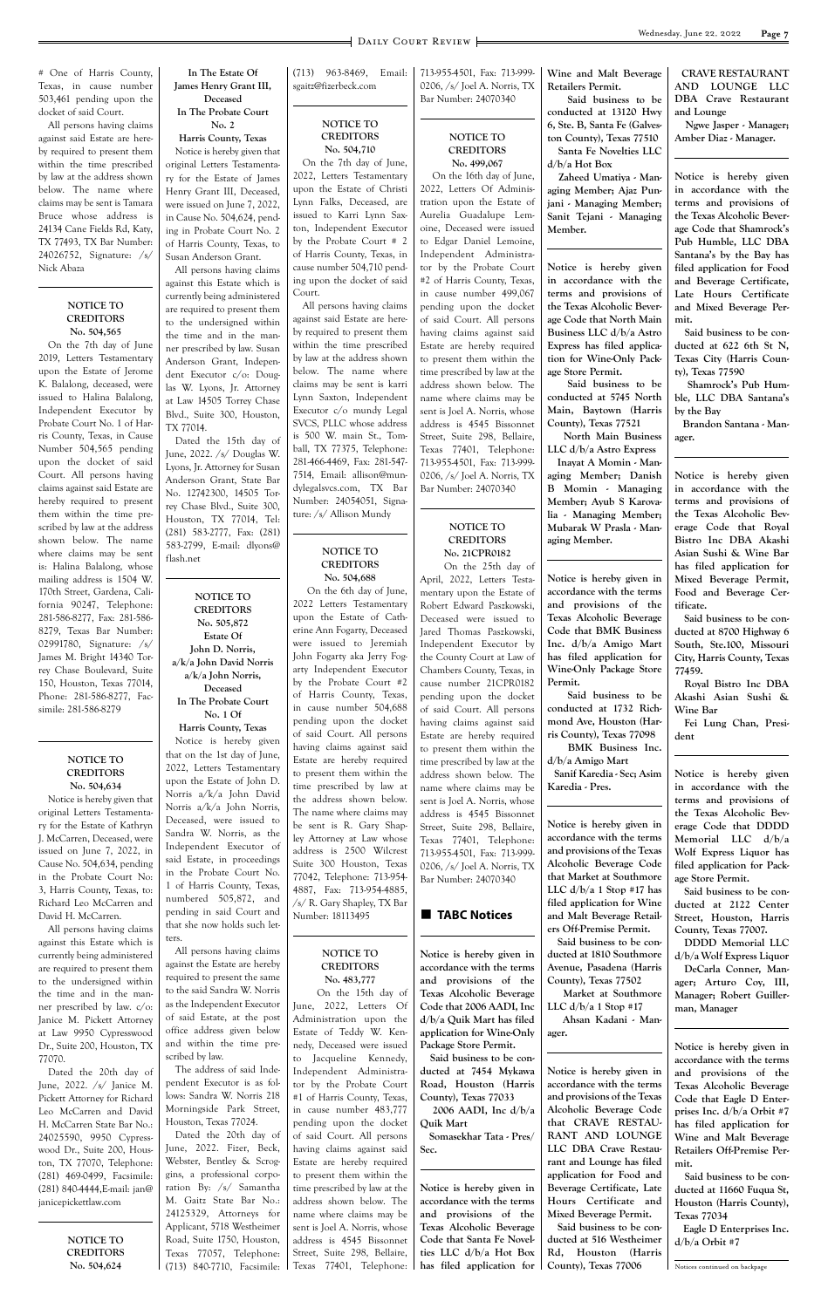### **Page 7** DAILY COURT REVIEW

# One of Harris County, Texas, in cause number 503,461 pending upon the docket of said Court.

All persons having claims against said Estate are hereby required to present them within the time prescribed by law at the address shown below. The name where claims may be sent is Tamara Bruce whose address is 24134 Cane Fields Rd, Katy, TX 77493, TX Bar Number: 24026752, Signature: /s/ Nick Abaza

#### **NOTICE TO CREDITORS No. 504,565**

On the 7th day of June 2019, Letters Testamentary upon the Estate of Jerome K. Balalong, deceased, were issued to Halina Balalong, Independent Executor by Probate Court No. 1 of Harris County, Texas, in Cause Number 504,565 pending upon the docket of said Court. All persons having claims against said Estate are hereby required to present them within the time prescribed by law at the address shown below. The name where claims may be sent is: Halina Balalong, whose mailing address is 1504 W. 170th Street, Gardena, California 90247, Telephone: 281-586-8277, Fax: 281-586- 8279, Texas Bar Number: 02991780, Signature: /s/ James M. Bright 14340 Torrey Chase Boulevard, Suite 150, Houston, Texas 77014, Phone: 281-586-8277, Facsimile: 281-586-8279

#### **NOTICE TO CREDITORS No. 504,634**

Notice is hereby given that original Letters Testamentary for the Estate of Kathryn J. McCarren, Deceased, were issued on June 7, 2022, in Cause No. 504,634, pending in the Probate Court No: 3, Harris County, Texas, to: Richard Leo McCarren and David H. McCarren.

All persons having claims against this Estate which is currently being administered

are required to present them to the undersigned within the time and in the manner prescribed by law. c/o: Janice M. Pickett Attorney at Law 9950 Cypresswood Dr., Suite 200, Houston, TX 77070.

Dated the 20th day of June, 2022. /s/ Janice M. Pickett Attorney for Richard Leo McCarren and David H. McCarren State Bar No.: 24025590, 9950 Cypresswood Dr., Suite 200, Houston, TX 77070, Telephone: (281) 469-0499, Facsimile: (281) 840-4444,E-mail: jan@ janicepickettlaw.com

> **NOTICE TO CREDITORS No. 504,624**

**In The Estate Of James Henry Grant III, Deceased**

#### **In The Probate Court No. 2**

**Harris County, Texas** Notice is hereby given that

original Letters Testamentary for the Estate of James Henry Grant III, Deceased, were issued on June 7, 2022, in Cause No. 504,624, pending in Probate Court No. 2 of Harris County, Texas, to Susan Anderson Grant.

All persons having claims against this Estate which is currently being administered are required to present them to the undersigned within the time and in the manner prescribed by law. Susan Anderson Grant, Independent Executor c/o: Douglas W. Lyons, Jr. Attorney at Law 14505 Torrey Chase Blvd., Suite 300, Houston, TX 77014.

Dated the 15th day of June, 2022. /s/ Douglas W. Lyons, Jr. Attorney for Susan Anderson Grant, State Bar No. 12742300, 14505 Torrey Chase Blvd., Suite 300, Houston, TX 77014, Tel: (281) 583-2777, Fax: (281) 583-2799, E-mail: dlyons@ flash.net

#### **NOTICE TO CREDITORS No. 505,872**

**Estate Of John D. Norris, a/k/a John David Norris a/k/a John Norris, Deceased**

**In The Probate Court No. 1 Of**

#### **Harris County, Texas**

Notice is hereby given that on the 1st day of June, 2022, Letters Testamentary upon the Estate of John D. Norris a/k/a John David Norris a/k/a John Norris, Deceased, were issued to Sandra W. Norris, as the Independent Executor of said Estate, in proceedings in the Probate Court No. 1 of Harris County, Texas, numbered 505,872, and pending in said Court and that she now holds such letters.

All persons having claims

against the Estate are hereby required to present the same to the said Sandra W. Norris as the Independent Executor of said Estate, at the post office address given below and within the time prescribed by law.

The address of said Independent Executor is as follows: Sandra W. Norris 218 Morningside Park Street, Houston, Texas 77024. Dated the 20th day of June, 2022. Fizer, Beck, Webster, Bentley & Scroggins, a professional corporation By: /s/ Samantha M. Gaitz State Bar No.: 24125329, Attorneys for Applicant, 5718 Westheimer Road, Suite 1750, Houston, Texas 77057, Telephone: (713) 840-7710, Facsimile:

(713) 963-8469, Email: sgaitz@fizerbeck.com

#### **NOTICE TO CREDITORS No. 504,710**

On the 7th day of June, 2022, Letters Testamentary upon the Estate of Christi Lynn Falks, Deceased, are issued to Karri Lynn Saxton, Independent Executor by the Probate Court # 2 of Harris County, Texas, in cause number 504,710 pending upon the docket of said Court.

All persons having claims against said Estate are hereby required to present them within the time prescribed by law at the address shown below. The name where claims may be sent is karri Lynn Saxton, Independent Executor c/o mundy Legal SVCS, PLLC whose address is 500 W. main St., Tomball, TX 77375, Telephone: 281-466-4469, Fax: 281-547- 7514, Email: allison@mundylegalsvcs.com, TX Bar Number: 24054051, Signature: /s/ Allison Mundy

#### **NOTICE TO CREDITORS No. 504,688**

 On the 6th day of June, 2022 Letters Testamentary upon the Estate of Catherine Ann Fogarty, Deceased were issued to Jeremiah John Fogarty aka Jerry Fogarty Independent Executor by the Probate Court #2 of Harris County, Texas, in cause number 504,688 pending upon the docket of said Court. All persons having claims against said Estate are hereby required to present them within the time prescribed by law at the address shown below. The name where claims may be sent is R. Gary Shapley Attorney at Law whose address is 2500 Wilcrest Suite 300 Houston, Texas 77042, Telephone: 713-954- 4887, Fax: 713-954-4885, /s/ R. Gary Shapley, TX Bar Number: 18113495

**NOTICE TO**

**CREDITORS No. 483,777** On the 15th day of June, 2022, Letters Of Administration upon the Estate of Teddy W. Kennedy, Deceased were issued to Jacqueline Kennedy, Independent Administrator by the Probate Court #1 of Harris County, Texas, in cause number 483,777 pending upon the docket of said Court. All persons having claims against said Estate are hereby required to present them within the time prescribed by law at the address shown below. The name where claims may be sent is Joel A. Norris, whose address is 4545 Bissonnet Street, Suite 298, Bellaire, Texas 77401, Telephone:

713-955-4501, Fax: 713-999- 0206, /s/ Joel A. Norris, TX Bar Number: 24070340

#### **NOTICE TO CREDITORS No. 499,067**

 On the 16th day of June, 2022, Letters Of Administration upon the Estate of Aurelia Guadalupe Lemoine, Deceased were issued to Edgar Daniel Lemoine, Independent Administrator by the Probate Court #2 of Harris County, Texas, in cause number 499,067 pending upon the docket of said Court. All persons having claims against said Estate are hereby required to present them within the time prescribed by law at the address shown below. The name where claims may be sent is Joel A. Norris, whose address is 4545 Bissonnet Street, Suite 298, Bellaire, Texas 77401, Telephone: 713-955-4501, Fax: 713-999- 0206, /s/ Joel A. Norris, TX Bar Number: 24070340

#### **NOTICE TO CREDITORS No. 21CPR0182**

On the 25th day of

April, 2022, Letters Testamentary upon the Estate of Robert Edward Paszkowski, Deceased were issued to Jared Thomas Paszkowski, Independent Executor by the County Court at Law of Chambers County, Texas, in cause number 21CPR0182 pending upon the docket of said Court. All persons having claims against said Estate are hereby required to present them within the time prescribed by law at the address shown below. The name where claims may be sent is Joel A. Norris, whose address is 4545 Bissonnet Street, Suite 298, Bellaire, Texas 77401, Telephone: 713-955-4501, Fax: 713-999- 0206, /s/ Joel A. Norris, TX Bar Number: 24070340

#### **TABC Notices**

**Notice is hereby given in accordance with the terms and provisions of the Texas Alcoholic Beverage Code that 2006 AADI, Inc d/b/a Quik Mart has filed application for Wine-Only Package Store Permit. Said business to be conducted at 7454 Mykawa Road, Houston (Harris County), Texas 77033 2006 AADI, Inc d/b/a Quik Mart**

 **Somasekhar Tata - Pres/ Sec.**

**Notice is hereby given in accordance with the terms and provisions of the Texas Alcoholic Beverage Code that Santa Fe Novelties LLC d/b/a Hot Box has filed application for** 

**Wine and Malt Beverage Retailers Permit.**

 **Said business to be conducted at 13120 Hwy 6, Ste. B, Santa Fe (Galveston County), Texas 77510 Santa Fe Novelties LLC d/b/a Hot Box**

 **Zaheed Umatiya - Managing Member; Ajaz Punjani - Managing Member; Sanit Tejani - Managing Member.**

**Notice is hereby given in accordance with the terms and provisions of the Texas Alcoholic Beverage Code that North Main Business LLC d/b/a Astro Express has filed application for Wine-Only Package Store Permit.**

 **Said business to be conducted at 5745 North Main, Baytown (Harris County), Texas 77521**

 **North Main Business LLC d/b/a Astro Express Inayat A Momin - Managing Member; Danish B Momin - Managing Member; Ayub S Karovalia - Managing Member; Mubarak W Prasla - Managing Member.**

**Notice is hereby given in accordance with the terms and provisions of the Texas Alcoholic Beverage Code that BMK Business Inc. d/b/a Amigo Mart has filed application for Wine-Only Package Store Permit.**

 **Said business to be conducted at 1732 Richmond Ave, Houston (Harris County), Texas 77098**

 **BMK Business Inc. d/b/a Amigo Mart**

 **Sanif Karedia - Sec; Asim Karedia - Pres.**

**Notice is hereby given in accordance with the terms and provisions of the Texas Alcoholic Beverage Code that Market at Southmore LLC d/b/a 1 Stop #17 has filed application for Wine and Malt Beverage Retailers Off-Premise Permit. Said business to be con-**

**ducted at 1810 Southmore Avenue, Pasadena (Harris County), Texas 77502 Market at Southmore LLC d/b/a 1 Stop #17 Ahsan Kadani - Manager.**

**Notice is hereby given in accordance with the terms and provisions of the Texas Alcoholic Beverage Code that CRAVE RESTAU-RANT AND LOUNGE LLC DBA Crave Restaurant and Lounge has filed application for Food and Beverage Certificate, Late Hours Certificate and Mixed Beverage Permit. Said business to be conducted at 516 Westheimer Rd, Houston (Harris County), Texas 77006**

 **CRAVE RESTAURANT AND LOUNGE LLC DBA Crave Restaurant and Lounge**

 **Ngwe Jasper - Manager; Amber Diaz - Manager.**

**Notice is hereby given in accordance with the terms and provisions of the Texas Alcoholic Beverage Code that Shamrock's Pub Humble, LLC DBA Santana's by the Bay has filed application for Food and Beverage Certificate, Late Hours Certificate and Mixed Beverage Permit.**

 **Said business to be conducted at 622 6th St N, Texas City (Harris County), Texas 77590**

 **Shamrock's Pub Humble, LLC DBA Santana's by the Bay**

 **Brandon Santana - Manager.**

**Notice is hereby given in accordance with the terms and provisions of the Texas Alcoholic Beverage Code that Royal Bistro Inc DBA Akashi Asian Sushi & Wine Bar has filed application for Mixed Beverage Permit, Food and Beverage Certificate.**

**Said business to be conducted at 8700 Highway 6 South, Ste.100, Missouri City, Harris County, Texas 77459.**

**Royal Bistro Inc DBA Akashi Asian Sushi & Wine Bar**

**Fei Lung Chan, President**

**Notice is hereby given in accordance with the terms and provisions of the Texas Alcoholic Beverage Code that DDDD Memorial LLC d/b/a Wolf Express Liquor has filed application for Package Store Permit.**

**Said business to be conducted at 2122 Center Street, Houston, Harris County, Texas 77007.**

**DDDD Memorial LLC d/b/a Wolf Express Liquor DeCarla Conner, Manager; Arturo Coy, III, Manager; Robert Guillerman, Manager**

**Notice is hereby given in accordance with the terms and provisions of the Texas Alcoholic Beverage Code that Eagle D Enterprises Inc. d/b/a Orbit #7 has filed application for Wine and Malt Beverage Retailers Off-Premise Permit.**

 **Said business to be conducted at 11660 Fuqua St, Houston (Harris County), Texas 77034**

 **Eagle D Enterprises Inc. d/b/a Orbit #7**

Notices continued on backpage